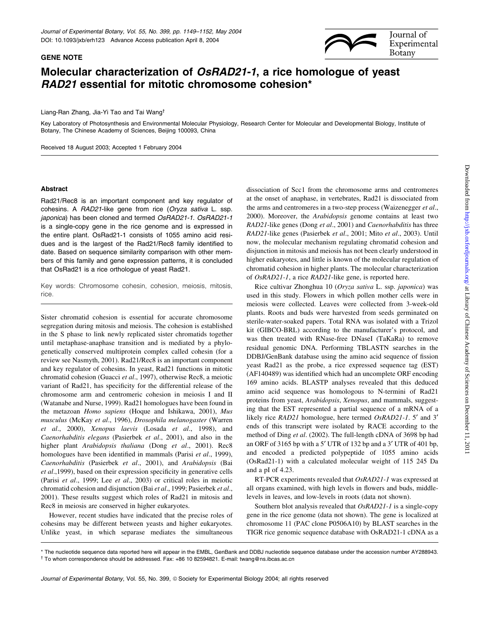

## Molecular characterization of OsRAD21-1, a rice homologue of yeast RAD21 essential for mitotic chromosome cohesion\*

Liang-Ran Zhang, Jia-Yi Tao and Tai Wang<sup>†</sup>

Key Laboratory of Photosynthesis and Environmental Molecular Physiology, Research Center for Molecular and Developmental Biology, Institute of Botany, The Chinese Academy of Sciences, Beijing 100093, China

Received 18 August 2003; Accepted 1 February 2004

## Abstract

GENE NOTE

Rad21/Rec8 is an important component and key regulator of cohesins. A RAD21-like gene from rice (Oryza sativa L. ssp. japonica) has been cloned and termed OsRAD21-1. OsRAD21-1 is a single-copy gene in the rice genome and is expressed in the entire plant. OsRad21-1 consists of 1055 amino acid residues and is the largest of the Rad21/Rec8 family identified to date. Based on sequence similarity comparison with other members of this family and gene expression patterns, it is concluded that OsRad21 is a rice orthologue of yeast Rad21.

Key words: Chromosome cohesin, cohesion, meiosis, mitosis, rice.

Sister chromatid cohesion is essential for accurate chromosome segregation during mitosis and meiosis. The cohesion is established in the S phase to link newly replicated sister chromatids together until metaphase-anaphase transition and is mediated by a phylogenetically conserved multiprotein complex called cohesin (for a review see Nasmyth, 2001). Rad21/Rec8 is an important component and key regulator of cohesins. In yeast, Rad21 functions in mitotic chromatid cohesion (Guacci et al., 1997), otherwise Rec8, a meiotic variant of Rad21, has specificity for the differential release of the chromosome arm and centromeric cohesion in meiosis I and II (Watanabe and Nurse, 1999). Rad21 homologues have been found in the metazoan Homo sapiens (Hoque and Ishikawa, 2001), Mus musculus (McKay et al., 1996), Drosophila melanogaster (Warren et al., 2000), Xenopus laevis (Losada et al., 1998), and Caenorhabditis elegans (Pasierbek et al., 2001), and also in the higher plant Arabidopsis thaliana (Dong et al., 2001). Rec8 homologues have been identified in mammals (Parisi et al., 1999), Caenorhabditis (Pasierbek et al., 2001), and Arabidopsis (Bai  $et al., 1999$ ), based on their expression specificity in generative cells (Parisi et al., 1999; Lee et al., 2003) or critical roles in meiotic chromatid cohesion and disjunction (Bai et al., 1999; Pasierbek et al., 2001). These results suggest which roles of Rad21 in mitosis and Rec8 in meiosis are conserved in higher eukaryotes.

However, recent studies have indicated that the precise roles of cohesins may be different between yeasts and higher eukaryotes. Unlike yeast, in which separase mediates the simultaneous

dissociation of Scc1 from the chromosome arms and centromeres at the onset of anaphase, in vertebrates, Rad21 is dissociated from the arms and centromeres in a two-step process (Waizenegger et al., 2000). Moreover, the Arabidopsis genome contains at least two RAD21-like genes (Dong et al., 2001) and Caenorhabditis has three RAD21-like genes (Pasierbek et al., 2001; Mito et al., 2003). Until now, the molecular mechanism regulating chromatid cohesion and disjunction in mitosis and meiosis has not been clearly understood in higher eukaryotes, and little is known of the molecular regulation of chromatid cohesion in higher plants. The molecular characterization of OsRAD21-1, a rice RAD21-like gene, is reported here.

Rice cultivar Zhonghua 10 (Oryza sativa L. ssp. japonica) was used in this study. Flowers in which pollen mother cells were in meiosis were collected. Leaves were collected from 3-week-old plants. Roots and buds were harvested from seeds germinated on sterile-water-soaked papers. Total RNA was isolated with a Trizol kit (GIBCO-BRL) according to the manufacturer's protocol, and was then treated with RNase-free DNaseI (TaKaRa) to remove residual genomic DNA. Performing TBLASTN searches in the DDBJ/GenBank database using the amino acid sequence of fission yeast Rad21 as the probe, a rice expressed sequence tag (EST) (AF140489) was identified which had an uncomplete ORF encoding 169 amino acids. BLASTP analyses revealed that this deduced amino acid sequence was homologous to N-termini of Rad21 proteins from yeast, Arabidopsis, Xenopus, and mammals, suggesting that the EST represented a partial sequence of a mRNA of a likely rice RAD21 homologue, here termed OsRAD21-1. 5' and 3' ends of this transcript were isolated by RACE according to the method of Ding et al. (2002). The full-length cDNA of 3698 bp had an ORF of 3165 bp with a 5 $'$  UTR of 132 bp and a 3 $'$  UTR of 401 bp, and encoded a predicted polypeptide of 1055 amino acids (OsRad21-1) with a calculated molecular weight of 115 245 Da and a pI of 4.23.

RT-PCR experiments revealed that OsRAD21-1 was expressed at all organs examined, with high levels in flowers and buds, middlelevels in leaves, and low-levels in roots (data not shown).

Southern blot analysis revealed that OsRAD21-1 is a single-copy gene in the rice genome (data not shown). The gene is localized at chromosome 11 (PAC clone P0506A10) by BLAST searches in the TIGR rice genomic sequence database with OsRAD21-1 cDNA as a

<sup>\*</sup> The nucleotide sequence data reported here will appear in the EMBL, GenBank and DDBJ nucleotide sequence database under the accession number AY288943. <sup>²</sup> To whom correspondence should be addressed. Fax: +86 10 82594821. E-mail: twang@ns.ibcas.ac.cn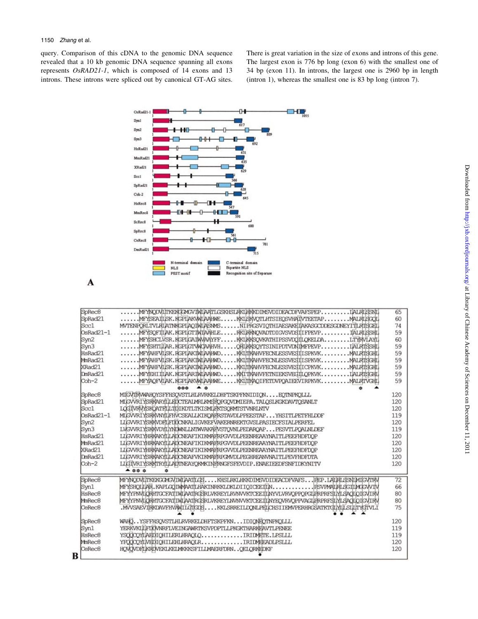query. Comparison of this cDNA to the genomic DNA sequence revealed that a 10 kb genomic DNA sequence spanning all exons represents OsRAD21-1, which is composed of 14 exons and 13 introns. These introns were spliced out by canonical GT-AG sites.

There is great variation in the size of exons and introns of this gene. The largest exon is 776 bp long (exon 6) with the smallest one of 34 bp (exon 11). In introns, the largest one is 2960 bp in length (intron 1), whereas the smallest one is 83 bp long (intron 7).



A

B

| SpRec8             | MEYNODVITKEKGGMGVIMLAATLGSKHSLRKLHKKDIMSVDIDEACDFVAFSPEP<br><b>IALRISSNI</b>         | 65  |
|--------------------|--------------------------------------------------------------------------------------|-----|
| SpRad21            | <b>MALRISGOT</b><br>.MEYSEATLISK. KGPIAKVWIAAHWE<br>. KKISKVOTLHTSIEOSVHAIIVTEETAP.  | 60  |
| Soc1               | NIPRGSVIOTHIAESAKEIAKASGCDDESGDNEYITLRTSGEL<br>MVTENPORLTVLRIJATNKGPI POTMI PISNMS   | 74  |
| OsRad21-1          | MFYSOFTILAK, KGPLGTTWTAAHLE<br>RKLRKNOVADTDIGVSVDSIIIFPEVP.<br><b>TALRISSHI</b>      | 59  |
| Syn2               | . KKI KKSOVKATHI PSSVDOJILOKELDA<br><b>LTYRVLAYL</b><br>MEYSHCLVSR.KGPLGAJMVAAYFF.   | 60  |
| Syn3               | MEYSHTLIAR, KGPLGTVWCAAHVH<br><b>IALRISSHI</b><br>ORLKKSOYTSINIPDTVDNIMFPEVP.        | 59  |
| HsRad21            | MEYAHEVISK, RGPLAKIMIAAHWD<br>.MALRISGHL<br>KKLIIKAHVFECNLESSVESIIISPKVK.            | 59  |
| MmRad21            | MEYAHEVI SK. RGPI AKTNI AAHND<br>.MALRISGHI<br>KKLIIKAHVFECNLESSVESIILSPKVK.         | 59  |
| XRad21             | MFYAHFVILSK, RGPIAKTMIAAHWD<br>KKLITKAHVFECNLESSVESTICPKVK<br>.MALRTSGHL             | 59  |
| DmRad21            | MEYEHI ILAK, KGPLARIMLAAHMD<br>.IALRISGHL<br>.KKITKAHVFETNIEKSVEGILOPKVK             | 59  |
| $Coh-2$            | MEYAOFVILAK.KGPIAKVMIAAHWE<br>KKUTKAOIFETDVPOAIEEVIRPKVK.<br>.MALRTVGHL              | 59  |
|                    | 49.49.49                                                                             |     |
| SpRec8             | MIGVIRWAHOYSFFHSQVSTLHLRVRKELDHFTSKPFKNIDIQN EQTNPKQLLL                              | 120 |
| SpRad21            | MLGVVRIYSRKARYILEDCTEALMRLKMSFQPGQVDMIEPA.TALQSLKGKDAVTQSANLT                        | 120 |
| Soc1               | LOGTVRVYSKÖATELLTIDIKOTLTKISMLEKTSOKMTSTVNRLNTV                                      | 120 |
| OsRad21-1          | MIGVVRIYSRRVNYIFHVCSEALLKIKQAFRSTAVDLPPEESTAPYHSITLPETFHLDDF                         | 119 |
| Syn2               | LIGVVRIYSKKVDFIFDDCNKALIGVKEFVAKERNREKTGVSLPASIECFSIALPERFEL                         | 120 |
| Syn3               | LWGVVRIYSKKVDYIYNDWNLLNIWVAKAFNSTQVNLPEDARQAPPESVTLPQALNLDEF                         | 119 |
| HsRad21            | LIGVVRIYHRKAKYILACONEAFIKIKMAFRPGVVDLPEENREAAYNAITLPEEFHDFDQP                        | 120 |
| MmRad21            | LUGVVRIYHRKAKYILLADONEAFIKIKMAFRPGVVDLPEENREAAYNAITLPEEFHDFDQP                       | 120 |
| XRad21             | LIGVVRIYHRKAKYILLADONEAFIKIKMAFRPGVVDLPEENREAAYNAITLPEEFHDFDQP                       | 120 |
| DmRad21            | LIGVVRIYSRKAKYLLADONEAFVKIKMAFRPGMVDLPEGHREANVNAITLPEVFHDFDTA                        | 120 |
| $Coh-2$            | LIGTVRIYSKKTRYTILADTNEAYQKMKINFRNGFSFEVDIP.ENAEIEEDFSNFIDKYNITV                      | 120 |
|                    | A 0 0 0 0                                                                            |     |
| SpRec8             | MEYNODVIITKEKGGVGVIWIPATILGSKHSLRKLHKKDIMSVDIDEACDEVAFSFEP.LAIRLSSNIMIGVTRV          | 72  |
| Syn1               |                                                                                      | 66  |
| HsRec8             | MFYYPNVLORHTGCFATITVILAATRGSRLVKREYLRVNVVKTCEETIINYVLVRVOPPOPGIERPRFSILYLSAOLOTGVIRV | 80  |
| MmRec8             | MEYYPNVLQRHTGCFATIWLAATRGSRLVKREYLNVNVVKTCEEJLNYEQVRVOPPVAGLFRPRFSLYLSAQIQ1GVIRV     | 80  |
| CeRec <sub>8</sub> | .MVVSAEVIRKDAVEHVÄNTIGIGDSKKISRREILDONLPELCHSIIEMVPERHRGSATKTGIMILISILITYGTVLI       | 75  |
|                    |                                                                                      |     |
| SpRec8             | WAHQYSFFHSQVSTLHLRVRKELDHFTSKPFKNIDIQNEQTNPKQLLL                                     | 120 |
| Syn1               | YERKVKLIFTÁJVNRFLVEINGAWRTKSVPDPTLLPKGKTHARKEAVTLPENEE                               | 119 |
| HsRec8             | YSQQOQYILAEDIQHILERLHRAQLQIRIDMETE.LPSLLL                                            | 119 |
| MmRec8             | YFOOOOYIIVEDIOHILEHLHRAOLRIRIDMEEADLPSLLL                                            | 120 |
| CeRec <sub>8</sub> | HOVOVDELKRIVEKLKELMKKKSFILLMAERFDRNOELORKEDKF                                        | 120 |
|                    |                                                                                      |     |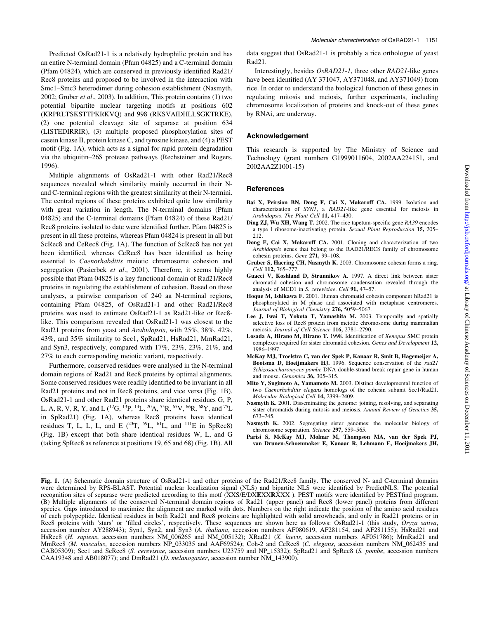Predicted OsRad21-1 is a relatively hydrophilic protein and has an entire N-terminal domain (Pfam 04825) and a C-terminal domain (Pfam 04824), which are conserved in previously identified Rad21/ Rec8 proteins and proposed to be involved in the interaction with Smc1-Smc3 heterodimer during cohesion establishment (Nasmyth, 2002; Gruber et al., 2003). In addition, This protein contains (1) two potential bipartite nuclear targeting motifs at positions 602 (KRPRLTSKSTTPKRKVQ) and 998 (RKSVAIDHLLSGKTRKE), (2) one potential cleavage site of separase at position 634 (LISTEDIRRIR), (3) multiple proposed phosphorylation sites of casein kinase II, protein kinase C, and tyrosine kinase, and (4) a PEST motif (Fig. 1A), which acts as a signal for rapid protein degradation via the ubiquitin-26S protease pathways (Rechsteiner and Rogers, 1996).

Multiple alignments of OsRad21-1 with other Rad21/Rec8 sequences revealed which similarity mainly occurred in their Nand C-terminal regions with the greatest similarity at their N-termini. The central regions of these proteins exhibited quite low similarity with great variation in length. The N-terminal domains (Pfam 04825) and the C-terminal domains (Pfam 04824) of these Rad21/ Rec8 proteins isolated to date were identified further. Pfam 04825 is present in all these proteins, whereas Pfam 04824 is present in all but ScRec8 and CeRec8 (Fig. 1A). The function of ScRec8 has not yet been identified, whereas CeRec8 has been identified as being essential to Caenorhabditis meiotic chromosome cohesion and segregation (Pasierbek et al., 2001). Therefore, it seems highly possible that Pfam 04825 is a key functional domain of Rad21/Rec8 proteins in regulating the establishment of cohesion. Based on these analyses, a pairwise comparison of 240 aa N-terminal regions, containing Pfam 04825, of OsRad21-1 and other Rad21/Rec8 proteins was used to estimate OsRad21-1 as Rad21-like or Rec8 like. This comparison revealed that OsRad21-1 was closest to the Rad21 proteins from yeast and Arabidopsis, with 25%, 38%, 42%, 43%, and 35% similarity to Scc1, SpRad21, HsRad21, MmRad21, and Syn3, respectively, compared with 17%, 23%, 23%, 21%, and 27% to each corresponding meiotic variant, respectively.

Furthermore, conserved residues were analysed in the N-terminal domain regions of Rad21 and Rec8 proteins by optimal alignments. Some conserved residues were readily identified to be invariant in all Rad21 proteins and not in Rec8 proteins, and vice versa (Fig. 1B). OsRad21-1 and other Rad21 proteins share identical residues G, P, L, A, R, V, R, Y, and L (12G, 13P, 14L, 20A, 55R, 65V, 66R, 68Y, and 75L in SpRad21) (Fig. 1A), whereas Rec8 proteins have identical residues T, L, L, L, and E  $(^{23}T, ^{59}L, ^{61}\overline{L}$ , and  $^{111}E$  in SpRec8) (Fig. 1B) except that both share identical residues W, L, and G (taking SpRec8 as reference at positions 19, 65 and 68) (Fig. 1B). All

data suggest that OsRad21-1 is probably a rice orthologue of yeast Rad21.

Interestingly, besides OsRAD21-1, three other RAD21-like genes have been identified (AY 371047, AY371048, and AY371049) from rice. In order to understand the biological function of these genes in regulating mitosis and meiosis, further experiments, including chromosome localization of proteins and knock-out of these genes by RNAi, are underway.

## Acknowledgement

This research is supported by The Ministry of Science and Technology (grant numbers G1999011604, 2002AA224151, and 2002AA2Z1001-15)

## **References**

- Bai X, Peirsion BN, Dong F, Cai X, Makaroff CA. 1999. Isolation and characterization of SYN1, a RAD21-like gene essential for meiosis in Arabidopsis. The Plant Cell 11, 417-430.
- Ding ZJ, Wu XH, Wang T. 2002. The rice tapetum-specific gene RA39 encodes a type I ribosome-inactivating protein. Sexual Plant Reproduction 15, 205-212.
- Dong F, Cai X, Makaroff CA. 2001. Cloning and characterization of two Arabidopsis genes that belong to the RAD21/REC8 family of chromosome cohesin proteins. Gene 271, 99-108.
- Gruber S, Haering CH, Nasmyth K. 2003. Chromosome cohesin forms a ring. Cell 112, 765-777
- Guacci V, Koshland D, Strunnikov A. 1997. A direct link between sister chromatid cohesion and chromosome condensation revealed through the analysis of MCD1 in S. cerevisiae. Cell 91, 47-57.
- Hoque M, Ishikawa F. 2001. Human chromatid cohesin component hRad21 is phosphorylated in M phase and associated with metaphase centromeres. Journal of Biological Chemistry 276, 5059-5067.
- Lee J, Iwai T, Yokota T, Yamashita M. 2003. Temporally and spatially selective loss of Rec8 protein from meiotic chromosome during mammalian meiosis. Journal of Cell Science 116, 2781-2790.
- Losada A, Hirano M, Hirano T. 1998. Identification of Xenopus SMC protein complexes required for sister chromatid cohesion. Genes and Development 12, 1986±1997.
- McKay MJ, Troelstra C, van der Spek P, Kanaar R, Smit B, Hagemeijer A, Bootsma D, Hoeijmakers HJ. 1996. Sequence conservation of the rad21 Schizosaccharomyces pombe DNA double-strand break repair gene in human and mouse. Genomics 36, 305-315.
- Mito Y, Sugimoto A, Yamamoto M. 2003. Distinct developmental function of two Caenorhabditis elegans homologs of the cohesin subunit Scc1/Rad21. Molecular Biological Cell 14, 2399-2409.
- Nasmyth K. 2001. Disseminating the genome: joining, resolving, and separating sister chromatids during mitosis and meiosis. Annual Review of Genetics 35, 673±745.
- Nasmyth K. 2002. Segregating sister genomes: the molecular biology of chromosome separation. Science 297, 559-565.
- Parisi S, McKay MJ, Molnar M, Thompson MA, van der Spek PJ, van Drunen-Schoenmaker E, Kanaar R, Lehmann E, Hoeijmakers JH,

Fig. 1. (A) Schematic domain structure of OsRad21-1 and other proteins of the Rad21/Rec8 family. The conserved N- and C-terminal domains were determined by RPS-BLAST. Potential nuclear localization signal (NLS) and bipartite NLS were identified by PredictNLS. The potential recognition sites of separase were predicted according to this motf (XXS/E/DXEXXRXXX). PEST motifs were identified by PESTfind program. (B) Multiple alignments of the conserved N-terminal domain regions of Rad21 (upper panel) and Rec8 (lower panel) proteins from different species. Gaps introduced to maximize the alignment are marked with dots. Numbers on the right indicate the position of the amino acid residues of each polypeptide. Identical residues in both Rad21 and Rec8 proteins are highlighted with solid arrowheads, and only in Rad21 proteins or in Rec8 proteins with 'stars' or 'filled circles', respectively. These sequences are shown here as follows: OsRad21-1 (this study, Oryza sativa, accession number AY288943); Syn1, Syn2, and Syn3 (A. thaliana, accession numbers AF080619, AF281154, and AF281155); HsRad21 and HsRec8 (H. sapiens, accession numbers NM\_006265 and NM\_005132); XRad21 (X. laevis, accession numbers AF051786); MmRad21 and MmRec8 (M. musculus, accession numbers NP\_033035 and AAF69524); Coh-2 and CeRec8 (C. elegans, accession numbers NM\_062435 and CAB05309); Scc1 and ScRec8 (S. cerevisiae, accession numbers U23759 and NP\_15332); SpRad21 and SpRec8 (S. pombe, accession numbers CAA19348 and AB018077); and DmRad21 (D. melanogaster, accession number NM\_143900).